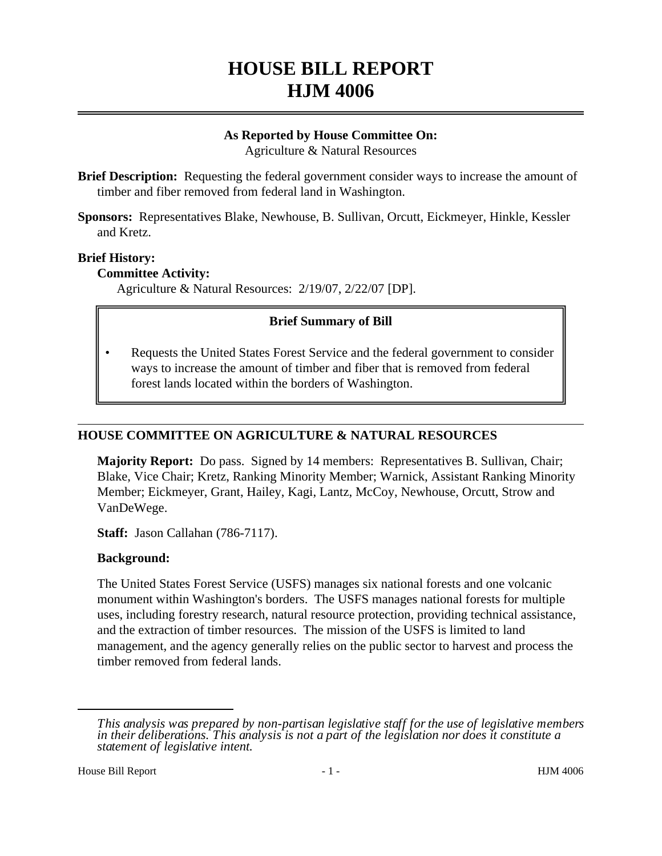# **HOUSE BILL REPORT HJM 4006**

## **As Reported by House Committee On:** Agriculture & Natural Resources

**Brief Description:** Requesting the federal government consider ways to increase the amount of timber and fiber removed from federal land in Washington.

**Sponsors:** Representatives Blake, Newhouse, B. Sullivan, Orcutt, Eickmeyer, Hinkle, Kessler and Kretz.

## **Brief History:**

### **Committee Activity:**

Agriculture & Natural Resources: 2/19/07, 2/22/07 [DP].

## **Brief Summary of Bill**

• Requests the United States Forest Service and the federal government to consider ways to increase the amount of timber and fiber that is removed from federal forest lands located within the borders of Washington.

#### **HOUSE COMMITTEE ON AGRICULTURE & NATURAL RESOURCES**

**Majority Report:** Do pass. Signed by 14 members: Representatives B. Sullivan, Chair; Blake, Vice Chair; Kretz, Ranking Minority Member; Warnick, Assistant Ranking Minority Member; Eickmeyer, Grant, Hailey, Kagi, Lantz, McCoy, Newhouse, Orcutt, Strow and VanDeWege.

**Staff:** Jason Callahan (786-7117).

#### **Background:**

The United States Forest Service (USFS) manages six national forests and one volcanic monument within Washington's borders. The USFS manages national forests for multiple uses, including forestry research, natural resource protection, providing technical assistance, and the extraction of timber resources. The mission of the USFS is limited to land management, and the agency generally relies on the public sector to harvest and process the timber removed from federal lands.

*This analysis was prepared by non-partisan legislative staff for the use of legislative members in their deliberations. This analysis is not a part of the legislation nor does it constitute a statement of legislative intent.*